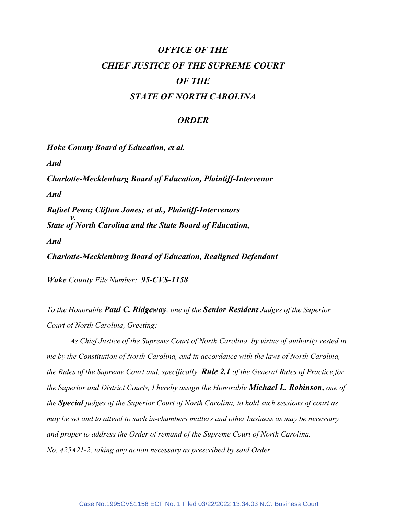## OFFICE OF THE CHIEF JUSTICE OF THE SUPREME COURT OF THE STATE OF NORTH CAROLINA

## **ORDER**

Hoke County Board of Education, et al. And Charlotte-Mecklenburg Board of Education, Plaintiff-Intervenor And Rafael Penn; Clifton Jones; et al., Plaintiff-Intervenors  $\mathcal{V}$ . State of North Carolina and the State Board of Education, And Charlotte-Mecklenburg Board of Education, Realigned Defendant

Wake County File Number: 95-CVS-1158

To the Honorable **Paul C. Ridgeway**, one of the **Senior Resident** Judges of the Superior Court of North Carolina, Greeting:

 As Chief Justice of the Supreme Court of North Carolina, by virtue of authority vested in me by the Constitution of North Carolina, and in accordance with the laws of North Carolina, the Rules of the Supreme Court and, specifically, **Rule 2.1** of the General Rules of Practice for the Superior and District Courts, I hereby assign the Honorable **Michael L. Robinson**, one of the **Special** judges of the Superior Court of North Carolina, to hold such sessions of court as may be set and to attend to such in-chambers matters and other business as may be necessary and proper to address the Order of remand of the Supreme Court of North Carolina, No. 425A21-2, taking any action necessary as prescribed by said Order.